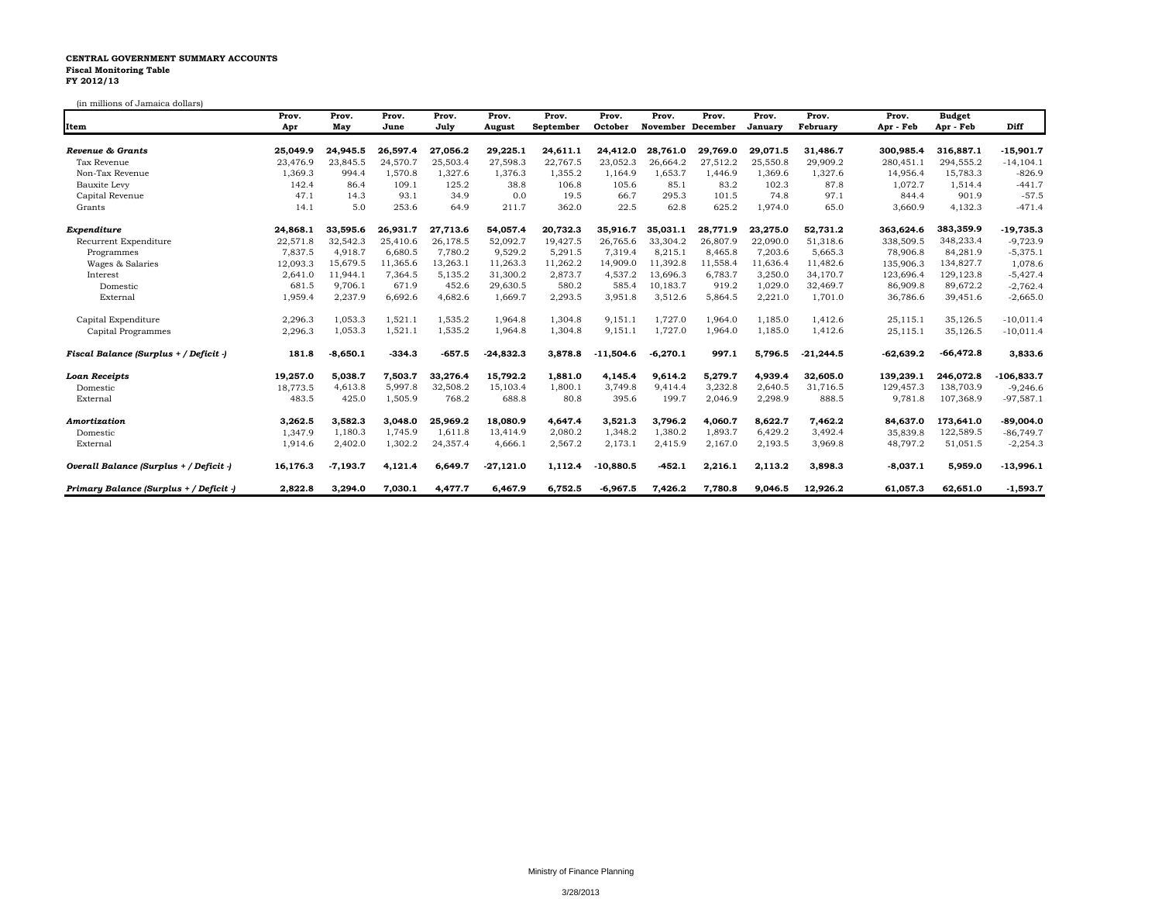## **CENTRAL GOVERNMENT SUMMARY ACCOUNTS Fiscal Monitoring Table FY 2012/13**

(in millions of Jamaica dollars)

|                                         | Prov.    | Prov.      | Prov.    | Prov.    | Prov.       | Prov.     | Prov.       | Prov.      | Prov.             | Prov.    | Prov.       | Prov.       | <b>Budget</b> |              |
|-----------------------------------------|----------|------------|----------|----------|-------------|-----------|-------------|------------|-------------------|----------|-------------|-------------|---------------|--------------|
| Item                                    | Apr      | May        | June     | July     | August      | September | October     |            | November December | January  | February    | Apr - Feb   | Apr - Feb     | Diff         |
| Revenue & Grants                        | 25.049.9 | 24.945.5   | 26.597.4 | 27.056.2 | 29,225.1    | 24,611.1  | 24,412.0    | 28.761.0   | 29,769.0          | 29,071.5 | 31,486.7    | 300,985.4   | 316,887.1     | $-15,901.7$  |
| Tax Revenue                             | 23,476.9 | 23.845.5   | 24.570.7 | 25,503.4 | 27,598.3    | 22,767.5  | 23,052.3    | 26.664.2   | 27,512.2          | 25,550.8 | 29,909.2    | 280,451.1   | 294.555.2     | $-14, 104.1$ |
| Non-Tax Revenue                         | 1,369.3  | 994.4      | 1,570.8  | 1,327.6  | 1,376.3     | 1,355.2   | 1,164.9     | 1,653.7    | 1,446.9           | 1,369.6  | 1,327.6     | 14,956.4    | 15,783.3      | $-826.9$     |
| Bauxite Levy                            | 142.4    | 86.4       | 109.1    | 125.2    | 38.8        | 106.8     | 105.6       | 85.1       | 83.2              | 102.3    | 87.8        | 1,072.7     | 1,514.4       | $-441.7$     |
| Capital Revenue                         | 47.1     | 14.3       | 93.1     | 34.9     | 0.0         | 19.5      | 66.7        | 295.3      | 101.5             | 74.8     | 97.1        | 844.4       | 901.9         | $-57.5$      |
| Grants                                  | 14.1     | 5.0        | 253.6    | 64.9     | 211.7       | 362.0     | 22.5        | 62.8       | 625.2             | 1,974.0  | 65.0        | 3,660.9     | 4,132.3       | $-471.4$     |
| Expenditure                             | 24,868.1 | 33,595.6   | 26,931.7 | 27,713.6 | 54,057.4    | 20,732.3  | 35,916.7    | 35.031.1   | 28,771.9          | 23,275.0 | 52,731.2    | 363,624.6   | 383,359.9     | $-19,735.3$  |
| Recurrent Expenditure                   | 22,571.8 | 32,542.3   | 25,410.6 | 26.178.5 | 52,092.7    | 19.427.5  | 26.765.6    | 33.304.2   | 26,807.9          | 22,090.0 | 51.318.6    | 338,509.5   | 348,233.4     | $-9,723.9$   |
| Programmes                              | 7,837.5  | 4,918.7    | 6,680.5  | 7.780.2  | 9,529.2     | 5,291.5   | 7,319.4     | 8,215.1    | 8.465.8           | 7,203.6  | 5,665.3     | 78,906.8    | 84,281.9      | $-5,375.1$   |
| Wages & Salaries                        | 12,093.3 | 15,679.5   | 11,365.6 | 13,263.1 | 11,263.3    | 11,262.2  | 14,909.0    | 11,392.8   | 11,558.4          | 11,636.4 | 11,482.6    | 135,906.3   | 134,827.7     | 1,078.6      |
| Interest                                | 2,641.0  | 11,944.1   | 7,364.5  | 5,135.2  | 31,300.2    | 2,873.7   | 4,537.2     | 13,696.3   | 6,783.7           | 3,250.0  | 34,170.7    | 123,696.4   | 129,123.8     | $-5,427.4$   |
| Domestic                                | 681.5    | 9,706.1    | 671.9    | 452.6    | 29,630.5    | 580.2     | 585.4       | 10,183.7   | 919.2             | 1,029.0  | 32,469.7    | 86,909.8    | 89,672.2      | $-2,762.4$   |
| External                                | 1,959.4  | 2,237.9    | 6,692.6  | 4.682.6  | 1,669.7     | 2,293.5   | 3,951.8     | 3,512.6    | 5,864.5           | 2,221.0  | 1,701.0     | 36,786.6    | 39,451.6      | $-2,665.0$   |
| Capital Expenditure                     | 2,296.3  | 1.053.3    | 1.521.1  | 1.535.2  | 1.964.8     | 1,304.8   | 9,151.1     | 1.727.0    | 1.964.0           | 1.185.0  | 1,412.6     | 25,115.1    | 35,126.5      | $-10,011.4$  |
| Capital Programmes                      | 2,296.3  | 1,053.3    | 1,521.1  | 1,535.2  | 1,964.8     | 1,304.8   | 9,151.1     | 1,727.0    | 1,964.0           | 1,185.0  | 1,412.6     | 25,115.1    | 35,126.5      | $-10,011.4$  |
| Fiscal Balance (Surplus + / Deficit -)  | 181.8    | $-8,650.1$ | $-334.3$ | $-657.5$ | $-24,832.3$ | 3.878.8   | $-11,504.6$ | $-6,270.1$ | 997.1             | 5,796.5  | $-21,244.5$ | $-62,639.2$ | $-66,472.8$   | 3,833.6      |
| <b>Loan Receipts</b>                    | 19,257.0 | 5,038.7    | 7,503.7  | 33,276.4 | 15,792.2    | 1,881.0   | 4,145.4     | 9,614.2    | 5,279.7           | 4,939.4  | 32,605.0    | 139,239.1   | 246,072.8     | $-106,833.7$ |
| Domestic                                | 18,773.5 | 4,613.8    | 5,997.8  | 32,508.2 | 15,103.4    | 1,800.1   | 3,749.8     | 9.414.4    | 3,232.8           | 2,640.5  | 31,716.5    | 129,457.3   | 138,703.9     | $-9,246.6$   |
| External                                | 483.5    | 425.0      | 1,505.9  | 768.2    | 688.8       | 80.8      | 395.6       | 199.7      | 2,046.9           | 2,298.9  | 888.5       | 9,781.8     | 107,368.9     | $-97,587.1$  |
| Amortization                            | 3,262.5  | 3,582.3    | 3.048.0  | 25.969.2 | 18.080.9    | 4,647.4   | 3,521.3     | 3,796.2    | 4,060.7           | 8,622.7  | 7,462.2     | 84,637.0    | 173,641.0     | -89,004.0    |
| Domestic                                | 1.347.9  | 1,180.3    | 1,745.9  | 1,611.8  | 13,414.9    | 2,080.2   | 1,348.2     | 1,380.2    | 1,893.7           | 6,429.2  | 3,492.4     | 35,839.8    | 122,589.5     | $-86,749.7$  |
| External                                | 1,914.6  | 2,402.0    | 1,302.2  | 24,357.4 | 4,666.1     | 2,567.2   | 2,173.1     | 2,415.9    | 2,167.0           | 2,193.5  | 3,969.8     | 48,797.2    | 51,051.5      | $-2,254.3$   |
| Overall Balance (Surplus + / Deficit -) | 16,176.3 | $-7.193.7$ | 4,121.4  | 6.649.7  | $-27,121.0$ | 1,112.4   | $-10,880.5$ | $-452.1$   | 2,216.1           | 2,113.2  | 3,898.3     | $-8,037.1$  | 5.959.0       | $-13,996.1$  |
| Primary Balance (Surplus + / Deficit -) | 2,822.8  | 3,294.0    | 7,030.1  | 4,477.7  | 6,467.9     | 6,752.5   | $-6,967.5$  | 7,426.2    | 7,780.8           | 9,046.5  | 12,926.2    | 61,057.3    | 62,651.0      | $-1,593.7$   |